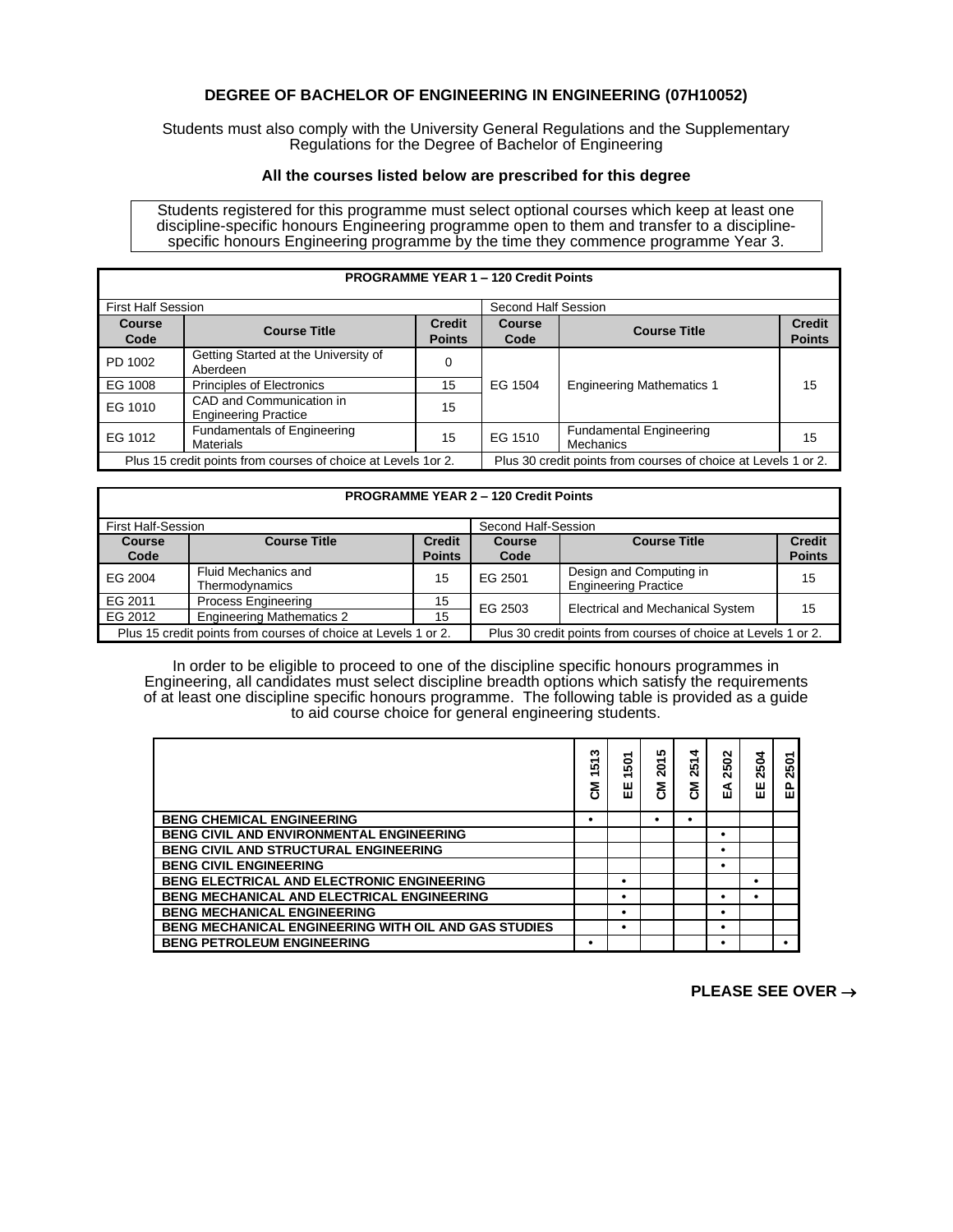## **DEGREE OF BACHELOR OF ENGINEERING IN ENGINEERING (07H10052)**

Students must also comply with the University General Regulations and the Supplementary Regulations for the Degree of Bachelor of Engineering

## **All the courses listed below are prescribed for this degree**

Students registered for this programme must select optional courses which keep at least one discipline-specific honours Engineering programme open to them and transfer to a disciplinespecific honours Engineering programme by the time they commence programme Year 3.

| <b>PROGRAMME YEAR 1 - 120 Credit Points</b> |                                                                |                                                                |                     |                                             |                                |  |  |  |  |
|---------------------------------------------|----------------------------------------------------------------|----------------------------------------------------------------|---------------------|---------------------------------------------|--------------------------------|--|--|--|--|
| <b>First Half Session</b>                   |                                                                |                                                                | Second Half Session |                                             |                                |  |  |  |  |
| <b>Course</b><br>Code                       | <b>Course Title</b>                                            | <b>Credit</b><br><b>Points</b>                                 | Course<br>Code      | <b>Course Title</b>                         | <b>Credit</b><br><b>Points</b> |  |  |  |  |
| PD 1002                                     | Getting Started at the University of<br>Aberdeen               | 0                                                              |                     |                                             |                                |  |  |  |  |
| EG 1008                                     | Principles of Electronics                                      | 15                                                             | EG 1504             | <b>Engineering Mathematics 1</b>            | 15                             |  |  |  |  |
| EG 1010                                     | CAD and Communication in<br><b>Engineering Practice</b>        | 15                                                             |                     |                                             |                                |  |  |  |  |
| EG 1012                                     | <b>Fundamentals of Engineering</b><br><b>Materials</b>         | 15                                                             | EG 1510             | <b>Fundamental Engineering</b><br>Mechanics | 15                             |  |  |  |  |
|                                             | Plus 15 credit points from courses of choice at Levels 1 or 2. | Plus 30 credit points from courses of choice at Levels 1 or 2. |                     |                                             |                                |  |  |  |  |

## **PROGRAMME YEAR 2 – 120 Credit Points** First Half-Session Second Half-Session **Course Code Course Title Credit Points Course Code Course Title Credit Points** EG 2004 Fluid Mechanics and<br>Thermodynamics 15 EG 2501 Design and Computing in Design and Computing in 15 EG 2011 Process Engineering 15 EG 2503 Electrical and Mechanical System 15<br>
Plus 15 credit points from courses of choice at Levels 1 or 2. Plus 30 credit points from courses of choice at Levels 1 or 2 Plus 30 credit points from courses of choice at Levels 1 or 2.

In order to be eligible to proceed to one of the discipline specific honours programmes in Engineering, all candidates must select discipline breadth options which satisfy the requirements of at least one discipline specific honours programme. The following table is provided as a guide to aid course choice for general engineering students.

|                                                             | ∾<br>5<br>÷<br>ξ | 507<br>$\overline{\phantom{0}}$<br>出 | 2015<br><u>동</u> | 4<br>251.<br>ξ | 2502<br>⋖<br>ш | 2504<br>出 | 2501<br>읎 |
|-------------------------------------------------------------|------------------|--------------------------------------|------------------|----------------|----------------|-----------|-----------|
| <b>BENG CHEMICAL ENGINEERING</b>                            | ٠                |                                      | ٠                |                |                |           |           |
| <b>BENG CIVIL AND ENVIRONMENTAL ENGINEERING</b>             |                  |                                      |                  |                | ٠              |           |           |
| <b>BENG CIVIL AND STRUCTURAL ENGINEERING</b>                |                  |                                      |                  |                | ٠              |           |           |
| <b>BENG CIVIL ENGINEERING</b>                               |                  |                                      |                  |                |                |           |           |
| <b>BENG ELECTRICAL AND ELECTRONIC ENGINEERING</b>           |                  | ٠                                    |                  |                |                | ٠         |           |
| <b>BENG MECHANICAL AND ELECTRICAL ENGINEERING</b>           |                  | ٠                                    |                  |                |                | ٠         |           |
| <b>BENG MECHANICAL ENGINEERING</b>                          |                  | ٠                                    |                  |                |                |           |           |
| <b>BENG MECHANICAL ENGINEERING WITH OIL AND GAS STUDIES</b> |                  | ٠                                    |                  |                | ٠              |           |           |
| <b>BENG PETROLEUM ENGINEERING</b>                           | ٠                |                                      |                  |                |                |           |           |

## **PLEASE SEE OVER** →